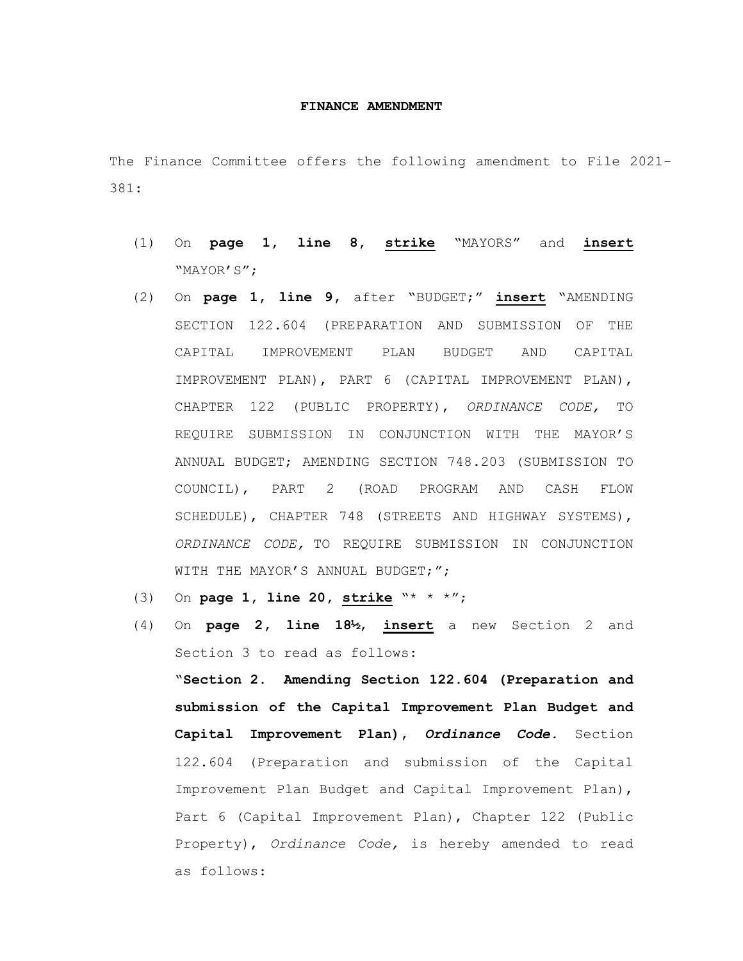## **FINANCE AMENDMENT**

The Finance Committee offers the following amendment to File 2021- 381:

- (1) On **page 1, line 8, strike** "MAYORS" and **insert** "MAYOR'S";
- (2) On **page 1, line 9,** after "BUDGET;" **insert** "AMENDING SECTION 122.604 (PREPARATION AND SUBMISSION OF THE CAPITAL IMPROVEMENT PLAN BUDGET AND CAPITAL IMPROVEMENT PLAN), PART 6 (CAPITAL IMPROVEMENT PLAN), CHAPTER 122 (PUBLIC PROPERTY), *ORDINANCE CODE,* TO REQUIRE SUBMISSION IN CONJUNCTION WITH THE MAYOR'S ANNUAL BUDGET; AMENDING SECTION 748.203 (SUBMISSION TO COUNCIL), PART 2 (ROAD PROGRAM AND CASH FLOW SCHEDULE), CHAPTER 748 (STREETS AND HIGHWAY SYSTEMS), *ORDINANCE CODE,* TO REQUIRE SUBMISSION IN CONJUNCTION WITH THE MAYOR'S ANNUAL BUDGET;";
- (3) On **page 1, line 20, strike** "\* \* \*";
- (4) On **page 2, line 18½**, **insert** a new Section 2 and Section 3 to read as follows:

"**Section 2. Amending Section 122.604 (Preparation and submission of the Capital Improvement Plan Budget and Capital Improvement Plan),** *Ordinance Code.* Section 122.604 (Preparation and submission of the Capital Improvement Plan Budget and Capital Improvement Plan), Part 6 (Capital Improvement Plan), Chapter 122 (Public Property), *Ordinance Code,* is hereby amended to read as follows: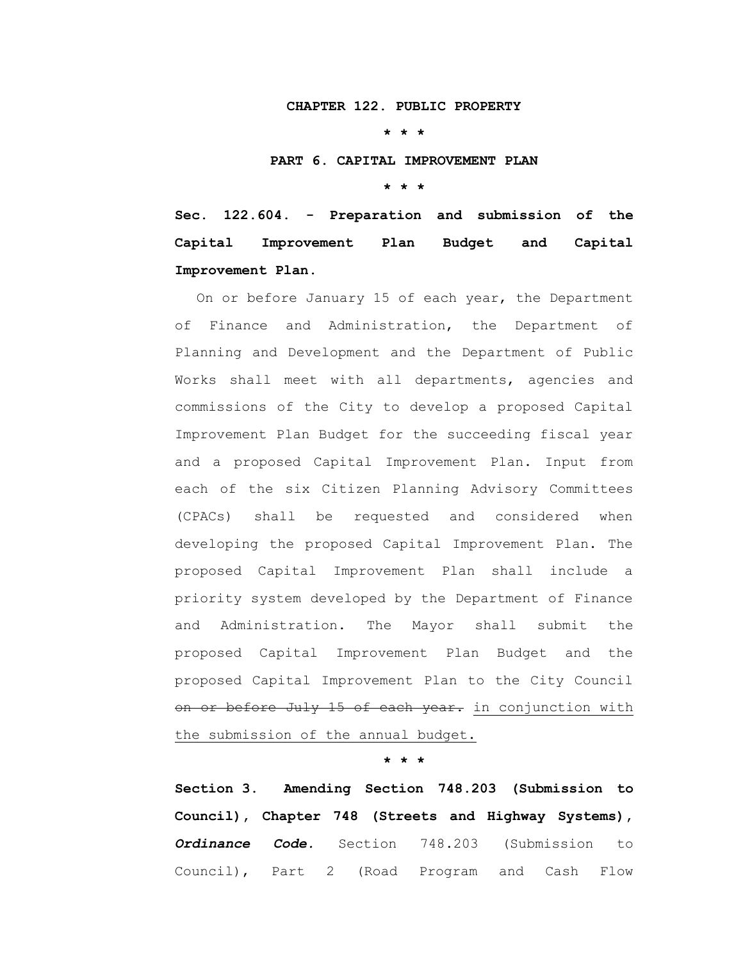## **CHAPTER 122. PUBLIC PROPERTY**

**\* \* \***

## **PART 6. CAPITAL IMPROVEMENT PLAN**

**\* \* \***

**Sec. 122.604. - Preparation and submission of the Capital Improvement Plan Budget and Capital Improvement Plan.**

On or before January 15 of each year, the Department of Finance and Administration, the Department of Planning and Development and the Department of Public Works shall meet with all departments, agencies and commissions of the City to develop a proposed Capital Improvement Plan Budget for the succeeding fiscal year and a proposed Capital Improvement Plan. Input from each of the six Citizen Planning Advisory Committees (CPACs) shall be requested and considered when developing the proposed Capital Improvement Plan. The proposed Capital Improvement Plan shall include a priority system developed by the Department of Finance and Administration. The Mayor shall submit the proposed Capital Improvement Plan Budget and the proposed Capital Improvement Plan to the City Council on or before July 15 of each year. in conjunction with the submission of the annual budget.

**\* \* \***

**Section 3. Amending Section 748.203 (Submission to Council), Chapter 748 (Streets and Highway Systems),**  *Ordinance Code.* Section 748.203 (Submission to Council), Part 2 (Road Program and Cash Flow